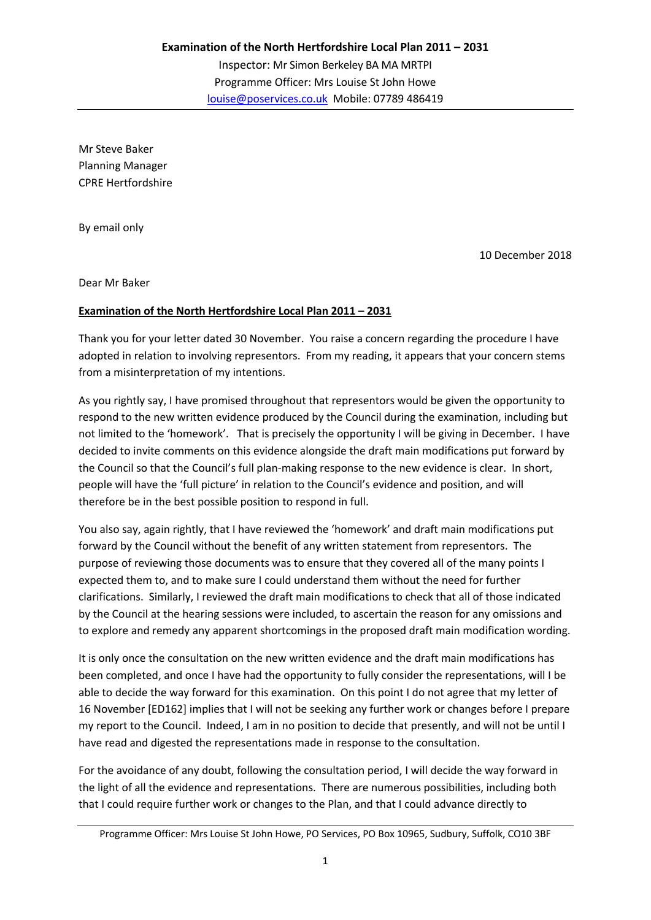Mr Steve Baker Planning Manager CPRE Hertfordshire

By email only

10 December 2018

Dear Mr Baker

## **Examination of the North Hertfordshire Local Plan 2011 – 2031**

Thank you for your letter dated 30 November. You raise a concern regarding the procedure I have adopted in relation to involving representors. From my reading, it appears that your concern stems from a misinterpretation of my intentions.

As you rightly say, I have promised throughout that representors would be given the opportunity to respond to the new written evidence produced by the Council during the examination, including but not limited to the 'homework'. That is precisely the opportunity I will be giving in December. I have decided to invite comments on this evidence alongside the draft main modifications put forward by the Council so that the Council's full plan-making response to the new evidence is clear. In short, people will have the 'full picture' in relation to the Council's evidence and position, and will therefore be in the best possible position to respond in full.

You also say, again rightly, that I have reviewed the 'homework' and draft main modifications put forward by the Council without the benefit of any written statement from representors. The purpose of reviewing those documents was to ensure that they covered all of the many points I expected them to, and to make sure I could understand them without the need for further clarifications. Similarly, I reviewed the draft main modifications to check that all of those indicated by the Council at the hearing sessions were included, to ascertain the reason for any omissions and to explore and remedy any apparent shortcomings in the proposed draft main modification wording.

It is only once the consultation on the new written evidence and the draft main modifications has been completed, and once I have had the opportunity to fully consider the representations, will I be able to decide the way forward for this examination. On this point I do not agree that my letter of 16 November [ED162] implies that I will not be seeking any further work or changes before I prepare my report to the Council. Indeed, I am in no position to decide that presently, and will not be until I have read and digested the representations made in response to the consultation.

For the avoidance of any doubt, following the consultation period, I will decide the way forward in the light of all the evidence and representations. There are numerous possibilities, including both that I could require further work or changes to the Plan, and that I could advance directly to

Programme Officer: Mrs Louise St John Howe, PO Services, PO Box 10965, Sudbury, Suffolk, CO10 3BF